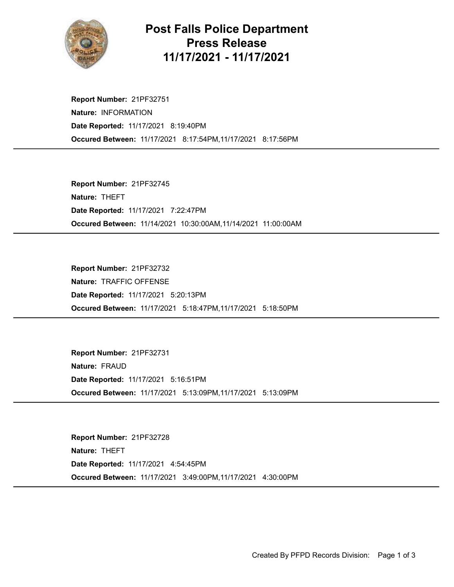

## Post Falls Police Department Press Release 11/17/2021 - 11/17/2021

Occured Between: 11/17/2021 8:17:54PM,11/17/2021 8:17:56PM Report Number: 21PF32751 Nature: INFORMATION Date Reported: 11/17/2021 8:19:40PM

Occured Between: 11/14/2021 10:30:00AM,11/14/2021 11:00:00AM Report Number: 21PF32745 Nature: THEFT Date Reported: 11/17/2021 7:22:47PM

Occured Between: 11/17/2021 5:18:47PM,11/17/2021 5:18:50PM Report Number: 21PF32732 Nature: TRAFFIC OFFENSE Date Reported: 11/17/2021 5:20:13PM

Occured Between: 11/17/2021 5:13:09PM,11/17/2021 5:13:09PM Report Number: 21PF32731 Nature: FRAUD Date Reported: 11/17/2021 5:16:51PM

Occured Between: 11/17/2021 3:49:00PM,11/17/2021 4:30:00PM Report Number: 21PF32728 Nature: THEFT Date Reported: 11/17/2021 4:54:45PM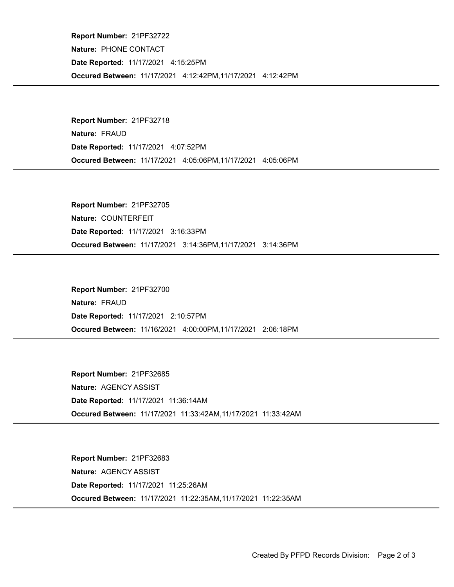Occured Between: 11/17/2021 4:12:42PM,11/17/2021 4:12:42PM Report Number: 21PF32722 Nature: PHONE CONTACT Date Reported: 11/17/2021 4:15:25PM

Occured Between: 11/17/2021 4:05:06PM,11/17/2021 4:05:06PM Report Number: 21PF32718 Nature: FRAUD Date Reported: 11/17/2021 4:07:52PM

Occured Between: 11/17/2021 3:14:36PM,11/17/2021 3:14:36PM Report Number: 21PF32705 Nature: COUNTERFEIT Date Reported: 11/17/2021 3:16:33PM

Occured Between: 11/16/2021 4:00:00PM,11/17/2021 2:06:18PM Report Number: 21PF32700 Nature: FRAUD Date Reported: 11/17/2021 2:10:57PM

Occured Between: 11/17/2021 11:33:42AM,11/17/2021 11:33:42AM Report Number: 21PF32685 Nature: AGENCY ASSIST Date Reported: 11/17/2021 11:36:14AM

Occured Between: 11/17/2021 11:22:35AM,11/17/2021 11:22:35AM Report Number: 21PF32683 Nature: AGENCY ASSIST Date Reported: 11/17/2021 11:25:26AM